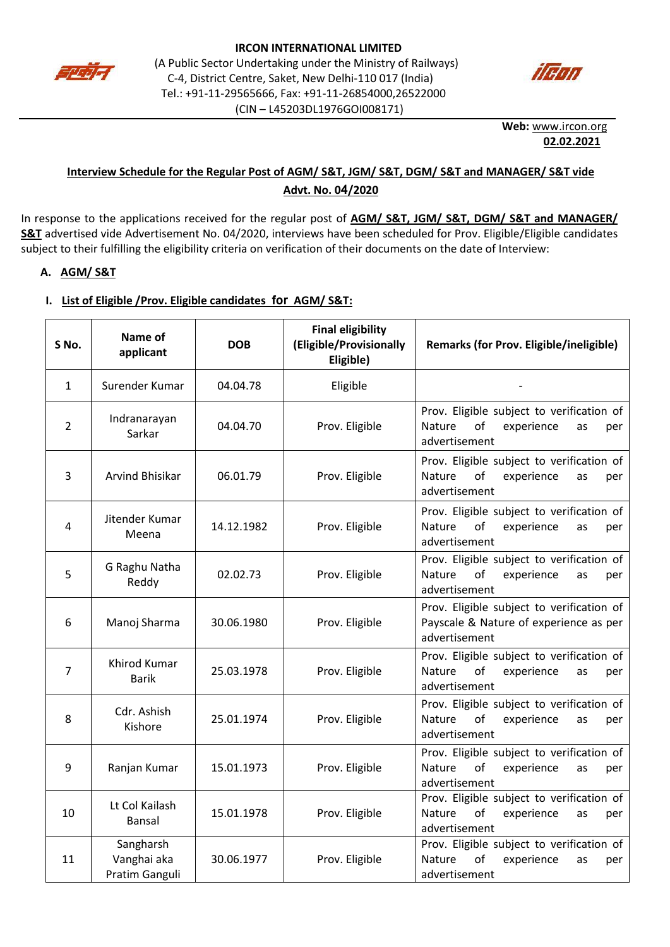



**Web:** [www.ircon.org](http://www.ircon.org/) **02.02.2021**

## **Interview Schedule for the Regular Post of AGM/ S&T, JGM/ S&T, DGM/ S&T and MANAGER/ S&T vide Advt. No. 04/2020**

In response to the applications received for the regular post of **AGM/ S&T, JGM/ S&T, DGM/ S&T and MANAGER/ S&T** advertised vide Advertisement No. 04/2020, interviews have been scheduled for Prov. Eligible/Eligible candidates subject to their fulfilling the eligibility criteria on verification of their documents on the date of Interview:

### **A. AGM/ S&T**

#### **I. List of Eligible /Prov. Eligible candidates for AGM/ S&T:**

| S No.        | Name of<br>applicant                       | <b>DOB</b> | <b>Final eligibility</b><br>(Eligible/Provisionally<br>Eligible) | Remarks (for Prov. Eligible/ineligible)                                                                      |
|--------------|--------------------------------------------|------------|------------------------------------------------------------------|--------------------------------------------------------------------------------------------------------------|
| $\mathbf{1}$ | Surender Kumar                             | 04.04.78   | Eligible                                                         |                                                                                                              |
| 2            | Indranarayan<br>Sarkar                     | 04.04.70   | Prov. Eligible                                                   | Prov. Eligible subject to verification of<br>of<br>experience<br><b>Nature</b><br>as<br>per<br>advertisement |
| 3            | Arvind Bhisikar                            | 06.01.79   | Prov. Eligible                                                   | Prov. Eligible subject to verification of<br>of<br>Nature<br>experience<br>as<br>per<br>advertisement        |
| 4            | Jitender Kumar<br>Meena                    | 14.12.1982 | Prov. Eligible                                                   | Prov. Eligible subject to verification of<br>of<br>experience<br><b>Nature</b><br>as<br>per<br>advertisement |
| 5            | G Raghu Natha<br>Reddy                     | 02.02.73   | Prov. Eligible                                                   | Prov. Eligible subject to verification of<br>of<br><b>Nature</b><br>experience<br>as<br>per<br>advertisement |
| 6            | Manoj Sharma                               | 30.06.1980 | Prov. Eligible                                                   | Prov. Eligible subject to verification of<br>Payscale & Nature of experience as per<br>advertisement         |
| 7            | Khirod Kumar<br><b>Barik</b>               | 25.03.1978 | Prov. Eligible                                                   | Prov. Eligible subject to verification of<br>of<br>Nature<br>experience<br>as<br>per<br>advertisement        |
| 8            | Cdr. Ashish<br>Kishore                     | 25.01.1974 | Prov. Eligible                                                   | Prov. Eligible subject to verification of<br>of<br>Nature<br>experience<br>as<br>per<br>advertisement        |
| 9            | Ranjan Kumar                               | 15.01.1973 | Prov. Eligible                                                   | Prov. Eligible subject to verification of<br>of<br><b>Nature</b><br>experience<br>as<br>per<br>advertisement |
| 10           | Lt Col Kailash<br>Bansal                   | 15.01.1978 | Prov. Eligible                                                   | Prov. Eligible subject to verification of<br>of<br><b>Nature</b><br>experience<br>as<br>per<br>advertisement |
| 11           | Sangharsh<br>Vanghai aka<br>Pratim Ganguli | 30.06.1977 | Prov. Eligible                                                   | Prov. Eligible subject to verification of<br>of<br>experience<br><b>Nature</b><br>as<br>per<br>advertisement |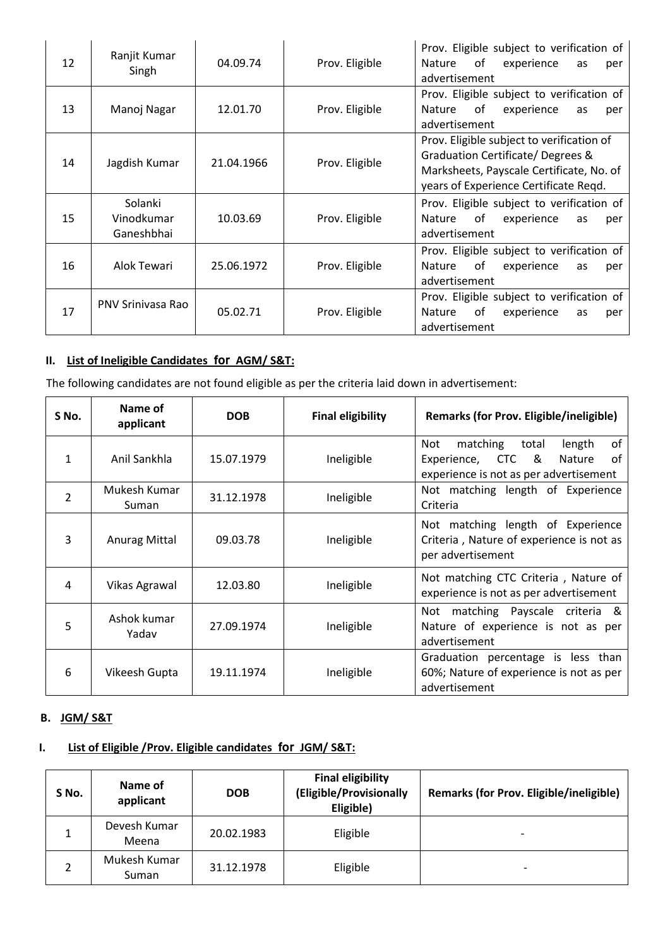| 12 | Ranjit Kumar<br>Singh               | 04.09.74   | Prov. Eligible | Prov. Eligible subject to verification of<br>of<br>experience<br><b>Nature</b><br>as<br>per<br>advertisement                                                       |
|----|-------------------------------------|------------|----------------|--------------------------------------------------------------------------------------------------------------------------------------------------------------------|
| 13 | Manoj Nagar                         | 12.01.70   | Prov. Eligible | Prov. Eligible subject to verification of<br>of<br><b>Nature</b><br>experience<br>as<br>per<br>advertisement                                                       |
| 14 | Jagdish Kumar                       | 21.04.1966 | Prov. Eligible | Prov. Eligible subject to verification of<br>Graduation Certificate/Degrees &<br>Marksheets, Payscale Certificate, No. of<br>years of Experience Certificate Regd. |
| 15 | Solanki<br>Vinodkumar<br>Ganeshbhai | 10.03.69   | Prov. Eligible | Prov. Eligible subject to verification of<br>of<br><b>Nature</b><br>experience<br>as<br>per<br>advertisement                                                       |
| 16 | Alok Tewari                         | 25.06.1972 | Prov. Eligible | Prov. Eligible subject to verification of<br>of<br>experience<br><b>Nature</b><br>as<br>per<br>advertisement                                                       |
| 17 | PNV Sriniyasa Rao                   | 05.02.71   | Prov. Eligible | Prov. Eligible subject to verification of<br>of<br>experience<br><b>Nature</b><br>as<br>per<br>advertisement                                                       |

### **II. List of Ineligible Candidates for AGM/ S&T:**

The following candidates are not found eligible as per the criteria laid down in advertisement:

| S No.          | Name of<br>applicant  | <b>DOB</b> | <b>Final eligibility</b> | Remarks (for Prov. Eligible/ineligible)                                                                                              |
|----------------|-----------------------|------------|--------------------------|--------------------------------------------------------------------------------------------------------------------------------------|
| 1              | Anil Sankhla          | 15.07.1979 | Ineligible               | of<br>matching<br>Not<br>total<br>length<br>of<br>&<br>Experience,<br><b>CTC</b><br>Nature<br>experience is not as per advertisement |
| $\overline{2}$ | Mukesh Kumar<br>Suman | 31.12.1978 | Ineligible               | Not matching length of Experience<br>Criteria                                                                                        |
| 3              | <b>Anurag Mittal</b>  | 09.03.78   | Ineligible               | Not matching length of Experience<br>Criteria, Nature of experience is not as<br>per advertisement                                   |
| 4              | Vikas Agrawal         | 12.03.80   | Ineligible               | Not matching CTC Criteria, Nature of<br>experience is not as per advertisement                                                       |
| 5              | Ashok kumar<br>Yadav  | 27.09.1974 | Ineligible               | matching Payscale criteria<br>Not<br>- &<br>Nature of experience is not as per<br>advertisement                                      |
| 6              | Vikeesh Gupta         | 19.11.1974 | Ineligible               | Graduation percentage is less than<br>60%; Nature of experience is not as per<br>advertisement                                       |

#### **B. JGM/ S&T**

## **I. List of Eligible /Prov. Eligible candidates for JGM/ S&T:**

| S No. | Name of<br>applicant  | <b>DOB</b> | <b>Final eligibility</b><br>(Eligible/Provisionally<br>Eligible) | <b>Remarks (for Prov. Eligible/ineligible)</b> |
|-------|-----------------------|------------|------------------------------------------------------------------|------------------------------------------------|
|       | Devesh Kumar<br>Meena | 20.02.1983 | Eligible                                                         | $\overline{\phantom{0}}$                       |
|       | Mukesh Kumar<br>Suman | 31.12.1978 | Eligible                                                         | $\overline{\phantom{0}}$                       |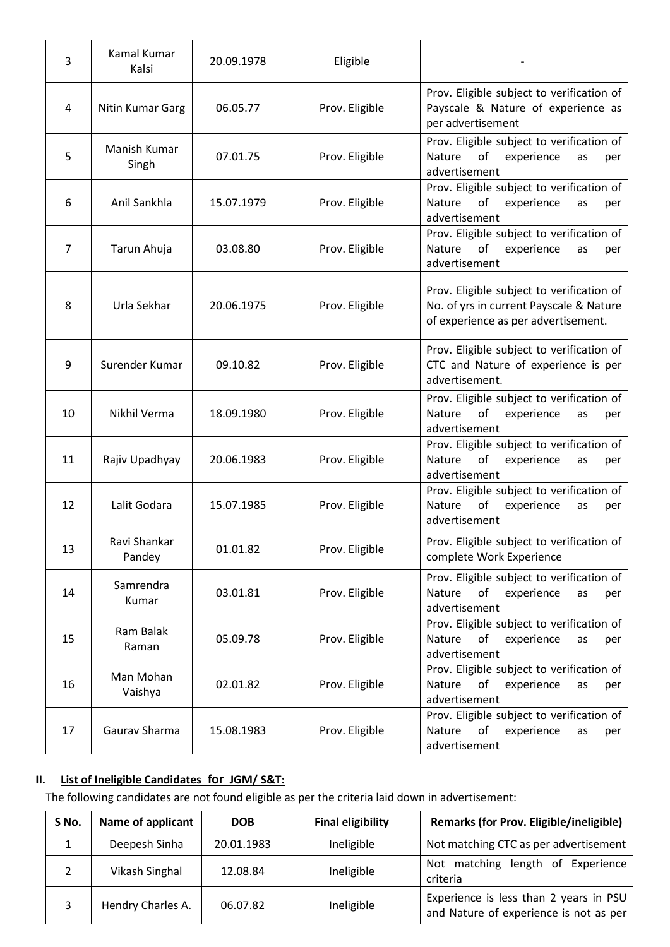| 3              | Kamal Kumar<br>Kalsi   | 20.09.1978 | Eligible       |                                                                                                                             |
|----------------|------------------------|------------|----------------|-----------------------------------------------------------------------------------------------------------------------------|
| 4              | Nitin Kumar Garg       | 06.05.77   | Prov. Eligible | Prov. Eligible subject to verification of<br>Payscale & Nature of experience as<br>per advertisement                        |
| 5              | Manish Kumar<br>Singh  | 07.01.75   | Prov. Eligible | Prov. Eligible subject to verification of<br>Nature<br>of<br>experience<br>as<br>per<br>advertisement                       |
| 6              | Anil Sankhla           | 15.07.1979 | Prov. Eligible | Prov. Eligible subject to verification of<br>Nature<br>of<br>experience<br>as<br>per<br>advertisement                       |
| $\overline{7}$ | Tarun Ahuja            | 03.08.80   | Prov. Eligible | Prov. Eligible subject to verification of<br>Nature<br>of<br>experience<br>as<br>per<br>advertisement                       |
| 8              | Urla Sekhar            | 20.06.1975 | Prov. Eligible | Prov. Eligible subject to verification of<br>No. of yrs in current Payscale & Nature<br>of experience as per advertisement. |
| 9              | Surender Kumar         | 09.10.82   | Prov. Eligible | Prov. Eligible subject to verification of<br>CTC and Nature of experience is per<br>advertisement.                          |
| 10             | Nikhil Verma           | 18.09.1980 | Prov. Eligible | Prov. Eligible subject to verification of<br>experience<br>Nature<br>of<br>as<br>per<br>advertisement                       |
| 11             | Rajiv Upadhyay         | 20.06.1983 | Prov. Eligible | Prov. Eligible subject to verification of<br>Nature<br>of<br>experience<br>as<br>per<br>advertisement                       |
| 12             | Lalit Godara           | 15.07.1985 | Prov. Eligible | Prov. Eligible subject to verification of<br>Nature<br>of<br>experience<br>as<br>per<br>advertisement                       |
| 13             | Ravi Shankar<br>Pandey | 01.01.82   | Prov. Eligible | Prov. Eligible subject to verification of<br>complete Work Experience                                                       |
| 14             | Samrendra<br>Kumar     | 03.01.81   | Prov. Eligible | Prov. Eligible subject to verification of<br>Nature<br>of<br>experience<br>as<br>per<br>advertisement                       |
| 15             | Ram Balak<br>Raman     | 05.09.78   | Prov. Eligible | Prov. Eligible subject to verification of<br>Nature<br>of<br>experience<br>as<br>per<br>advertisement                       |
| 16             | Man Mohan<br>Vaishya   | 02.01.82   | Prov. Eligible | Prov. Eligible subject to verification of<br>Nature<br>of<br>experience<br>as<br>per<br>advertisement                       |
| 17             | Gaurav Sharma          | 15.08.1983 | Prov. Eligible | Prov. Eligible subject to verification of<br>Nature<br>of<br>experience<br>as<br>per<br>advertisement                       |

## **II. List of Ineligible Candidates for JGM/ S&T:**

The following candidates are not found eligible as per the criteria laid down in advertisement:

| S No. | Name of applicant | <b>DOB</b> | <b>Final eligibility</b> | <b>Remarks (for Prov. Eligible/ineligible)</b>                                   |
|-------|-------------------|------------|--------------------------|----------------------------------------------------------------------------------|
|       | Deepesh Sinha     | 20.01.1983 | Ineligible               | Not matching CTC as per advertisement                                            |
|       | Vikash Singhal    | 12.08.84   | Ineligible               | length of Experience<br>Not matching<br>criteria                                 |
|       | Hendry Charles A. | 06.07.82   | Ineligible               | Experience is less than 2 years in PSU<br>and Nature of experience is not as per |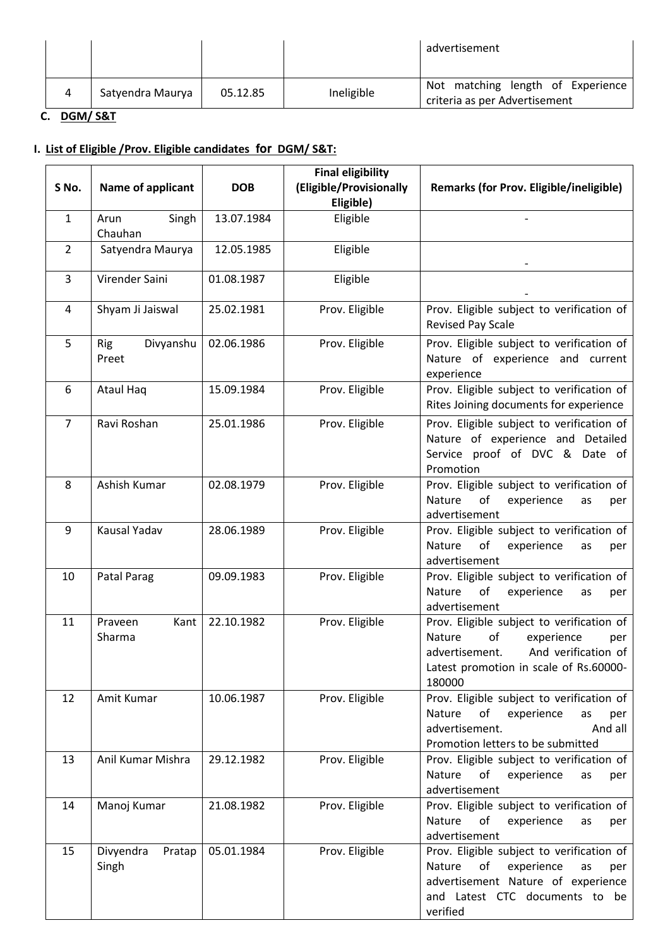|   |                  |          |            | advertisement                                                      |
|---|------------------|----------|------------|--------------------------------------------------------------------|
| Δ | Satyendra Maurya | 05.12.85 | Ineligible | Not matching length of Experience<br>criteria as per Advertisement |

**C. DGM/ S&T**

## **I. List of Eligible /Prov. Eligible candidates for DGM/ S&T:**

| S No.          | Name of applicant                | <b>DOB</b> | <b>Final eligibility</b><br>(Eligible/Provisionally | <b>Remarks (for Prov. Eligible/ineligible)</b>                                                                                                                              |
|----------------|----------------------------------|------------|-----------------------------------------------------|-----------------------------------------------------------------------------------------------------------------------------------------------------------------------------|
|                |                                  |            | Eligible)                                           |                                                                                                                                                                             |
| $\mathbf{1}$   | Singh<br>Arun<br>Chauhan         | 13.07.1984 | Eligible                                            |                                                                                                                                                                             |
| $\overline{2}$ | Satyendra Maurya                 | 12.05.1985 | Eligible                                            |                                                                                                                                                                             |
| 3              | Virender Saini                   | 01.08.1987 | Eligible                                            |                                                                                                                                                                             |
| 4              | Shyam Ji Jaiswal                 | 25.02.1981 | Prov. Eligible                                      | Prov. Eligible subject to verification of<br>Revised Pay Scale                                                                                                              |
| 5              | Divyanshu<br><b>Rig</b><br>Preet | 02.06.1986 | Prov. Eligible                                      | Prov. Eligible subject to verification of<br>Nature of experience and current<br>experience                                                                                 |
| 6              | <b>Ataul Haq</b>                 | 15.09.1984 | Prov. Eligible                                      | Prov. Eligible subject to verification of<br>Rites Joining documents for experience                                                                                         |
| $\overline{7}$ | Ravi Roshan                      | 25.01.1986 | Prov. Eligible                                      | Prov. Eligible subject to verification of<br>Nature of experience and Detailed<br>Service proof of DVC & Date of<br>Promotion                                               |
| 8              | Ashish Kumar                     | 02.08.1979 | Prov. Eligible                                      | Prov. Eligible subject to verification of<br>Nature<br>of<br>experience<br>as<br>per<br>advertisement                                                                       |
| 9              | Kausal Yadav                     | 28.06.1989 | Prov. Eligible                                      | Prov. Eligible subject to verification of<br>Nature<br>of<br>experience<br>as<br>per<br>advertisement                                                                       |
| 10             | Patal Parag                      | 09.09.1983 | Prov. Eligible                                      | Prov. Eligible subject to verification of<br>Nature<br>of<br>experience<br>as<br>per<br>advertisement                                                                       |
| 11             | Praveen<br>Kant<br>Sharma        | 22.10.1982 | Prov. Eligible                                      | Prov. Eligible subject to verification of<br>Nature<br>of<br>experience<br>per<br>advertisement.<br>And verification of<br>Latest promotion in scale of Rs.60000-<br>180000 |
| 12             | Amit Kumar                       | 10.06.1987 | Prov. Eligible                                      | Prov. Eligible subject to verification of<br>experience<br>Nature<br>of<br>as<br>per<br>advertisement.<br>And all<br>Promotion letters to be submitted                      |
| 13             | Anil Kumar Mishra                | 29.12.1982 | Prov. Eligible                                      | Prov. Eligible subject to verification of<br>Nature<br>of<br>experience<br>as<br>per<br>advertisement                                                                       |
| 14             | Manoj Kumar                      | 21.08.1982 | Prov. Eligible                                      | Prov. Eligible subject to verification of<br>Nature<br>experience<br>of<br>as<br>per<br>advertisement                                                                       |
| 15             | Divyendra<br>Pratap<br>Singh     | 05.01.1984 | Prov. Eligible                                      | Prov. Eligible subject to verification of<br>Nature<br>of<br>experience<br>as<br>per<br>advertisement Nature of experience<br>and Latest CTC documents to be<br>verified    |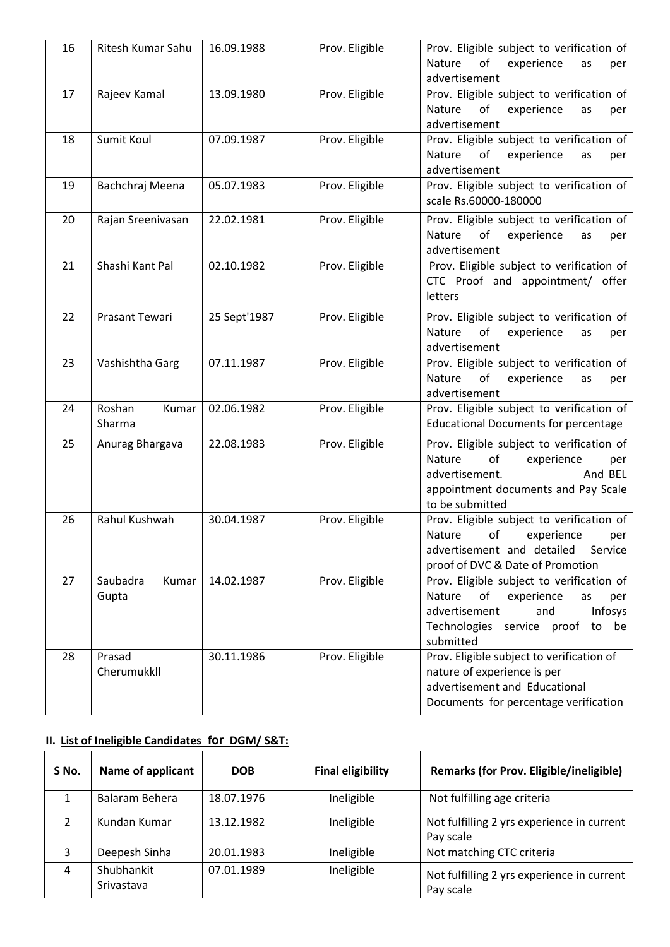| 16 | Ritesh Kumar Sahu          | 16.09.1988   | Prov. Eligible | Prov. Eligible subject to verification of<br>of<br>experience<br><b>Nature</b><br>as<br>per<br>advertisement                                                                   |
|----|----------------------------|--------------|----------------|--------------------------------------------------------------------------------------------------------------------------------------------------------------------------------|
| 17 | Rajeev Kamal               | 13.09.1980   | Prov. Eligible | Prov. Eligible subject to verification of<br>Nature<br>of<br>experience<br>as<br>per<br>advertisement                                                                          |
| 18 | Sumit Koul                 | 07.09.1987   | Prov. Eligible | Prov. Eligible subject to verification of<br>Nature<br>of<br>experience<br>as<br>per<br>advertisement                                                                          |
| 19 | Bachchraj Meena            | 05.07.1983   | Prov. Eligible | Prov. Eligible subject to verification of<br>scale Rs.60000-180000                                                                                                             |
| 20 | Rajan Sreenivasan          | 22.02.1981   | Prov. Eligible | Prov. Eligible subject to verification of<br>of<br>experience<br>Nature<br>as<br>per<br>advertisement                                                                          |
| 21 | Shashi Kant Pal            | 02.10.1982   | Prov. Eligible | Prov. Eligible subject to verification of<br>CTC Proof and appointment/ offer<br>letters                                                                                       |
| 22 | Prasant Tewari             | 25 Sept'1987 | Prov. Eligible | Prov. Eligible subject to verification of<br>of<br>experience<br><b>Nature</b><br>as<br>per<br>advertisement                                                                   |
| 23 | Vashishtha Garg            | 07.11.1987   | Prov. Eligible | Prov. Eligible subject to verification of<br>Nature<br>of<br>experience<br>as<br>per<br>advertisement                                                                          |
| 24 | Roshan<br>Kumar<br>Sharma  | 02.06.1982   | Prov. Eligible | Prov. Eligible subject to verification of<br><b>Educational Documents for percentage</b>                                                                                       |
| 25 | Anurag Bhargava            | 22.08.1983   | Prov. Eligible | Prov. Eligible subject to verification of<br>Nature<br>of<br>experience<br>per<br>advertisement.<br>And BEL<br>appointment documents and Pay Scale<br>to be submitted          |
| 26 | Rahul Kushwah              | 30.04.1987   | Prov. Eligible | Prov. Eligible subject to verification of<br>Nature<br>of<br>experience<br>per<br>advertisement and detailed<br>Service<br>proof of DVC & Date of Promotion                    |
| 27 | Saubadra<br>Kumar<br>Gupta | 14.02.1987   | Prov. Eligible | Prov. Eligible subject to verification of<br>of<br>Nature<br>experience<br>as<br>per<br>advertisement<br>and<br>Infosys<br>Technologies service proof<br>to<br>be<br>submitted |
| 28 | Prasad<br>Cherumukkll      | 30.11.1986   | Prov. Eligible | Prov. Eligible subject to verification of<br>nature of experience is per<br>advertisement and Educational<br>Documents for percentage verification                             |

# **II. List of Ineligible Candidates for DGM/ S&T:**

| S No. | <b>Name of applicant</b> | <b>DOB</b> | <b>Final eligibility</b> | <b>Remarks (for Prov. Eligible/ineligible)</b>          |
|-------|--------------------------|------------|--------------------------|---------------------------------------------------------|
|       | Balaram Behera           | 18.07.1976 | Ineligible               | Not fulfilling age criteria                             |
|       | Kundan Kumar             | 13.12.1982 | Ineligible               | Not fulfilling 2 yrs experience in current<br>Pay scale |
| 3     | Deepesh Sinha            | 20.01.1983 | Ineligible               | Not matching CTC criteria                               |
| 4     | Shubhankit<br>Srivastava | 07.01.1989 | Ineligible               | Not fulfilling 2 yrs experience in current<br>Pay scale |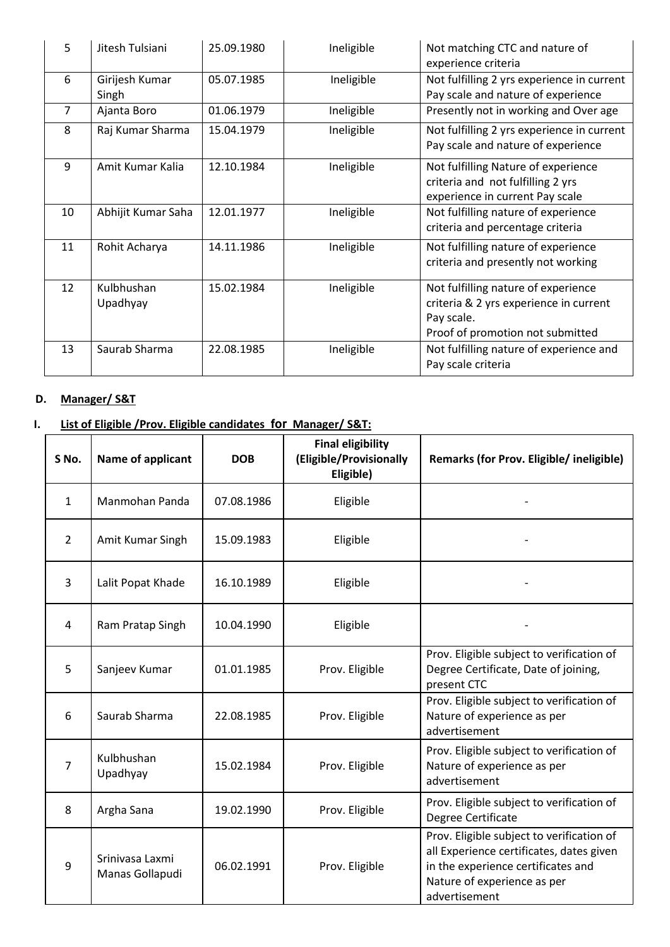| 5              | Jitesh Tulsiani         | 25.09.1980 | Ineligible | Not matching CTC and nature of<br>experience criteria                                                                           |
|----------------|-------------------------|------------|------------|---------------------------------------------------------------------------------------------------------------------------------|
| 6              | Girijesh Kumar<br>Singh | 05.07.1985 | Ineligible | Not fulfilling 2 yrs experience in current<br>Pay scale and nature of experience                                                |
| $\overline{7}$ | Ajanta Boro             | 01.06.1979 | Ineligible | Presently not in working and Over age                                                                                           |
| 8              | Raj Kumar Sharma        | 15.04.1979 | Ineligible | Not fulfilling 2 yrs experience in current<br>Pay scale and nature of experience                                                |
| 9              | Amit Kumar Kalia        | 12.10.1984 | Ineligible | Not fulfilling Nature of experience<br>criteria and not fulfilling 2 yrs<br>experience in current Pay scale                     |
| 10             | Abhijit Kumar Saha      | 12.01.1977 | Ineligible | Not fulfilling nature of experience<br>criteria and percentage criteria                                                         |
| 11             | Rohit Acharya           | 14.11.1986 | Ineligible | Not fulfilling nature of experience<br>criteria and presently not working                                                       |
| 12             | Kulbhushan<br>Upadhyay  | 15.02.1984 | Ineligible | Not fulfilling nature of experience<br>criteria & 2 yrs experience in current<br>Pay scale.<br>Proof of promotion not submitted |
| 13             | Saurab Sharma           | 22.08.1985 | Ineligible | Not fulfilling nature of experience and<br>Pay scale criteria                                                                   |

### **D. Manager/ S&T**

## **I. List of Eligible /Prov. Eligible candidates for Manager/ S&T:**

| S No.          | Name of applicant                  | <b>DOB</b> | <b>Final eligibility</b><br>(Eligible/Provisionally<br>Eligible) | Remarks (for Prov. Eligible/ ineligible)                                                                                                                                    |
|----------------|------------------------------------|------------|------------------------------------------------------------------|-----------------------------------------------------------------------------------------------------------------------------------------------------------------------------|
| $\mathbf{1}$   | Manmohan Panda                     | 07.08.1986 | Eligible                                                         |                                                                                                                                                                             |
| $\overline{2}$ | Amit Kumar Singh                   | 15.09.1983 | Eligible                                                         |                                                                                                                                                                             |
| 3              | Lalit Popat Khade                  | 16.10.1989 | Eligible                                                         |                                                                                                                                                                             |
| 4              | Ram Pratap Singh                   | 10.04.1990 | Eligible                                                         |                                                                                                                                                                             |
| 5              | Sanjeev Kumar                      | 01.01.1985 | Prov. Eligible                                                   | Prov. Eligible subject to verification of<br>Degree Certificate, Date of joining,<br>present CTC                                                                            |
| 6              | Saurab Sharma                      | 22.08.1985 | Prov. Eligible                                                   | Prov. Eligible subject to verification of<br>Nature of experience as per<br>advertisement                                                                                   |
| 7              | Kulbhushan<br>Upadhyay             | 15.02.1984 | Prov. Eligible                                                   | Prov. Eligible subject to verification of<br>Nature of experience as per<br>advertisement                                                                                   |
| 8              | Argha Sana                         | 19.02.1990 | Prov. Eligible                                                   | Prov. Eligible subject to verification of<br>Degree Certificate                                                                                                             |
| 9              | Srinivasa Laxmi<br>Manas Gollapudi | 06.02.1991 | Prov. Eligible                                                   | Prov. Eligible subject to verification of<br>all Experience certificates, dates given<br>in the experience certificates and<br>Nature of experience as per<br>advertisement |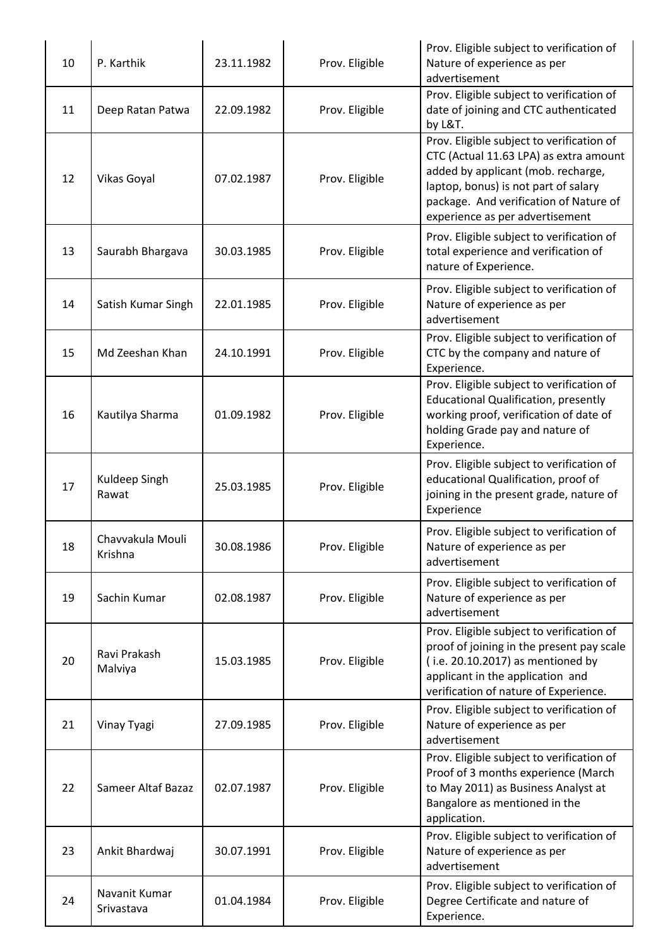| 10 | P. Karthik                  | 23.11.1982 | Prov. Eligible | Prov. Eligible subject to verification of<br>Nature of experience as per<br>advertisement                                                                                                                                                      |  |
|----|-----------------------------|------------|----------------|------------------------------------------------------------------------------------------------------------------------------------------------------------------------------------------------------------------------------------------------|--|
| 11 | Deep Ratan Patwa            | 22.09.1982 | Prov. Eligible | Prov. Eligible subject to verification of<br>date of joining and CTC authenticated<br>by L&T.                                                                                                                                                  |  |
| 12 | Vikas Goyal                 | 07.02.1987 | Prov. Eligible | Prov. Eligible subject to verification of<br>CTC (Actual 11.63 LPA) as extra amount<br>added by applicant (mob. recharge,<br>laptop, bonus) is not part of salary<br>package. And verification of Nature of<br>experience as per advertisement |  |
| 13 | Saurabh Bhargava            | 30.03.1985 | Prov. Eligible | Prov. Eligible subject to verification of<br>total experience and verification of<br>nature of Experience.                                                                                                                                     |  |
| 14 | Satish Kumar Singh          | 22.01.1985 | Prov. Eligible | Prov. Eligible subject to verification of<br>Nature of experience as per<br>advertisement                                                                                                                                                      |  |
| 15 | Md Zeeshan Khan             | 24.10.1991 | Prov. Eligible | Prov. Eligible subject to verification of<br>CTC by the company and nature of<br>Experience.                                                                                                                                                   |  |
| 16 | Kautilya Sharma             | 01.09.1982 | Prov. Eligible | Prov. Eligible subject to verification of<br><b>Educational Qualification, presently</b><br>working proof, verification of date of<br>holding Grade pay and nature of<br>Experience.                                                           |  |
| 17 | Kuldeep Singh<br>Rawat      | 25.03.1985 | Prov. Eligible | Prov. Eligible subject to verification of<br>educational Qualification, proof of<br>joining in the present grade, nature of<br>Experience                                                                                                      |  |
| 18 | Chavvakula Mouli<br>Krishna | 30.08.1986 | Prov. Eligible | Prov. Eligible subject to verification of<br>Nature of experience as per<br>advertisement                                                                                                                                                      |  |
| 19 | Sachin Kumar                | 02.08.1987 | Prov. Eligible | Prov. Eligible subject to verification of<br>Nature of experience as per<br>advertisement                                                                                                                                                      |  |
| 20 | Ravi Prakash<br>Malviya     | 15.03.1985 | Prov. Eligible | Prov. Eligible subject to verification of<br>proof of joining in the present pay scale<br>(i.e. 20.10.2017) as mentioned by<br>applicant in the application and<br>verification of nature of Experience.                                       |  |
| 21 | Vinay Tyagi                 | 27.09.1985 | Prov. Eligible | Prov. Eligible subject to verification of<br>Nature of experience as per<br>advertisement                                                                                                                                                      |  |
| 22 | Sameer Altaf Bazaz          | 02.07.1987 | Prov. Eligible | Prov. Eligible subject to verification of<br>Proof of 3 months experience (March<br>to May 2011) as Business Analyst at<br>Bangalore as mentioned in the<br>application.                                                                       |  |
| 23 | Ankit Bhardwaj              | 30.07.1991 | Prov. Eligible | Prov. Eligible subject to verification of<br>Nature of experience as per<br>advertisement                                                                                                                                                      |  |
| 24 | Navanit Kumar<br>Srivastava | 01.04.1984 | Prov. Eligible | Prov. Eligible subject to verification of<br>Degree Certificate and nature of<br>Experience.                                                                                                                                                   |  |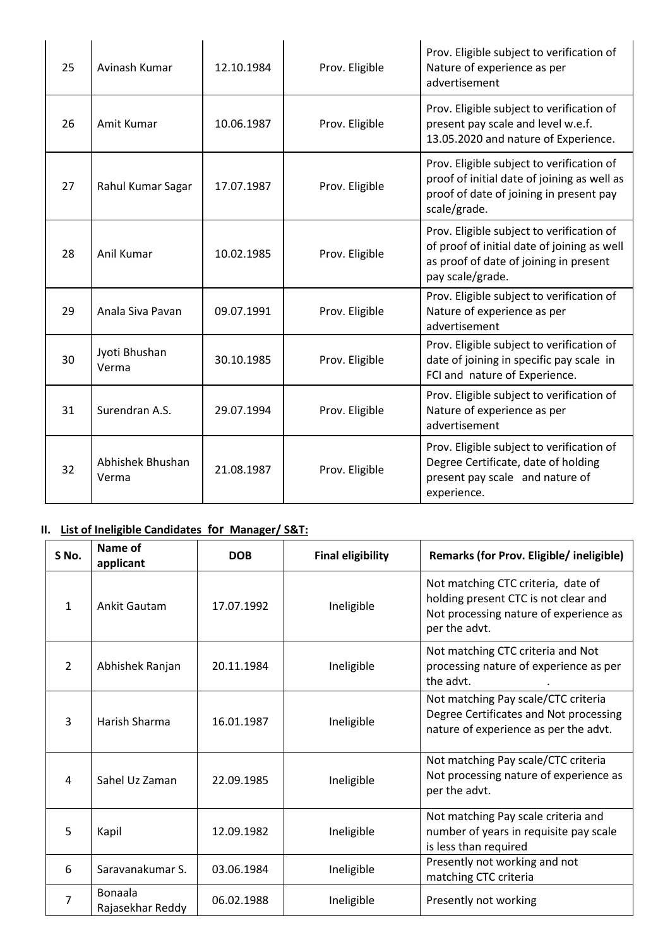| 25 | Avinash Kumar             | 12.10.1984 | Prov. Eligible                                                                                                                                                        | Prov. Eligible subject to verification of<br>Nature of experience as per<br>advertisement                                                              |  |
|----|---------------------------|------------|-----------------------------------------------------------------------------------------------------------------------------------------------------------------------|--------------------------------------------------------------------------------------------------------------------------------------------------------|--|
| 26 | Amit Kumar                | 10.06.1987 | Prov. Eligible                                                                                                                                                        | Prov. Eligible subject to verification of<br>present pay scale and level w.e.f.<br>13.05.2020 and nature of Experience.                                |  |
| 27 | Rahul Kumar Sagar         | 17.07.1987 | Prov. Eligible subject to verification of<br>proof of initial date of joining as well as<br>Prov. Eligible<br>proof of date of joining in present pay<br>scale/grade. |                                                                                                                                                        |  |
| 28 | Anil Kumar                | 10.02.1985 | Prov. Eligible                                                                                                                                                        | Prov. Eligible subject to verification of<br>of proof of initial date of joining as well<br>as proof of date of joining in present<br>pay scale/grade. |  |
| 29 | Anala Siva Pavan          | 09.07.1991 | Prov. Eligible                                                                                                                                                        | Prov. Eligible subject to verification of<br>Nature of experience as per<br>advertisement                                                              |  |
| 30 | Jyoti Bhushan<br>Verma    | 30.10.1985 | Prov. Eligible                                                                                                                                                        | Prov. Eligible subject to verification of<br>date of joining in specific pay scale in<br>FCI and nature of Experience.                                 |  |
| 31 | Surendran A.S.            | 29.07.1994 | Prov. Eligible                                                                                                                                                        | Prov. Eligible subject to verification of<br>Nature of experience as per<br>advertisement                                                              |  |
| 32 | Abhishek Bhushan<br>Verma | 21.08.1987 | Prov. Eligible                                                                                                                                                        | Prov. Eligible subject to verification of<br>Degree Certificate, date of holding<br>present pay scale and nature of<br>experience.                     |  |

# **II. List of Ineligible Candidates for Manager/ S&T:**

| S No.          | Name of<br>applicant               | <b>DOB</b> | <b>Final eligibility</b> | Remarks (for Prov. Eligible/ ineligible)                                                                                              |  |
|----------------|------------------------------------|------------|--------------------------|---------------------------------------------------------------------------------------------------------------------------------------|--|
| 1              | Ankit Gautam                       | 17.07.1992 | Ineligible               | Not matching CTC criteria, date of<br>holding present CTC is not clear and<br>Not processing nature of experience as<br>per the advt. |  |
| $\overline{2}$ | Abhishek Ranjan                    | 20.11.1984 | Ineligible               | Not matching CTC criteria and Not<br>processing nature of experience as per<br>the advt.                                              |  |
| 3              | Harish Sharma                      | 16.01.1987 | Ineligible               | Not matching Pay scale/CTC criteria<br>Degree Certificates and Not processing<br>nature of experience as per the advt.                |  |
| 4              | Sahel Uz Zaman                     | 22.09.1985 | Ineligible               | Not matching Pay scale/CTC criteria<br>Not processing nature of experience as<br>per the advt.                                        |  |
| 5              | Kapil                              | 12.09.1982 | Ineligible               | Not matching Pay scale criteria and<br>number of years in requisite pay scale<br>is less than required                                |  |
| 6              | Saravanakumar S.                   | 03.06.1984 | Ineligible               | Presently not working and not<br>matching CTC criteria                                                                                |  |
| 7              | <b>Bonaala</b><br>Rajasekhar Reddy | 06.02.1988 | Ineligible               | Presently not working                                                                                                                 |  |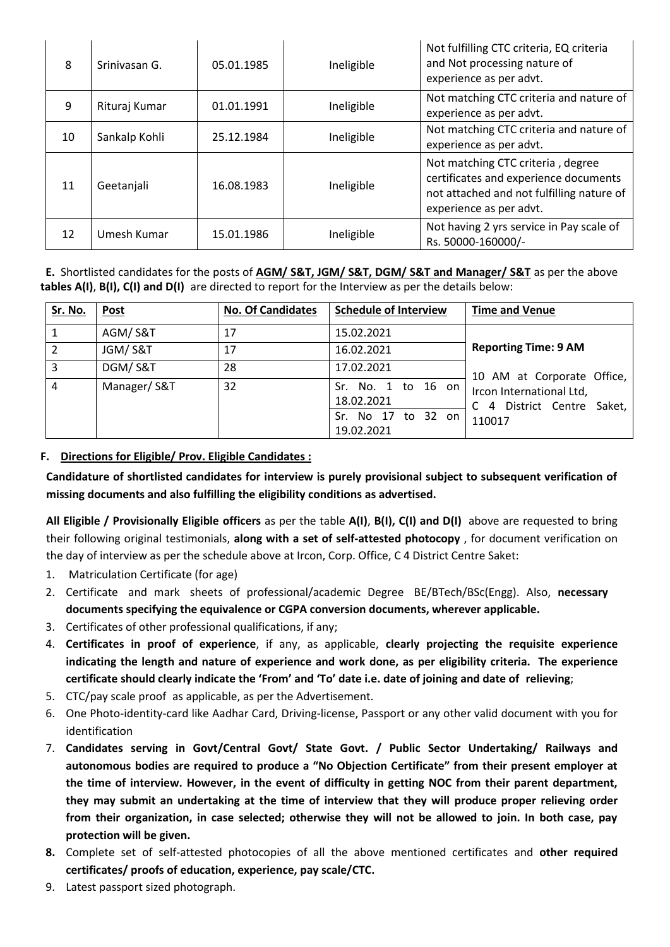| 8  | Srinivasan G. | 05.01.1985 | Ineligible                                                                       | Not fulfilling CTC criteria, EQ criteria<br>and Not processing nature of<br>experience as per advt.                                                |  |
|----|---------------|------------|----------------------------------------------------------------------------------|----------------------------------------------------------------------------------------------------------------------------------------------------|--|
| 9  | Rituraj Kumar | 01.01.1991 | Not matching CTC criteria and nature of<br>Ineligible<br>experience as per advt. |                                                                                                                                                    |  |
| 10 | Sankalp Kohli | 25.12.1984 | Ineligible                                                                       | Not matching CTC criteria and nature of<br>experience as per advt.                                                                                 |  |
| 11 | Geetanjali    | 16.08.1983 | Ineligible                                                                       | Not matching CTC criteria, degree<br>certificates and experience documents<br>not attached and not fulfilling nature of<br>experience as per advt. |  |
| 12 | Umesh Kumar   | 15.01.1986 | Ineligible                                                                       | Not having 2 yrs service in Pay scale of<br>Rs. 50000-160000/-                                                                                     |  |

**E.** Shortlisted candidates for the posts of **AGM/ S&T, JGM/ S&T, DGM/ S&T and Manager/ S&T** as per the above **tables A(I)**, **B(I), C(I) and D(I)** are directed to report for the Interview as per the details below:

| Sr. No. | <b>Post</b> | <b>No. Of Candidates</b> | <b>Schedule of Interview</b>     | <b>Time and Venue</b>                                                                |  |
|---------|-------------|--------------------------|----------------------------------|--------------------------------------------------------------------------------------|--|
|         | AGM/S&T     | 17                       | 15.02.2021                       |                                                                                      |  |
|         | JGM/S&T     | 17                       | 16.02.2021                       | <b>Reporting Time: 9 AM</b>                                                          |  |
| 3       | DGM/S&T     | 28                       | 17.02.2021                       | 10 AM at Corporate Office,<br>Ircon International Ltd,<br>C 4 District Centre Saket, |  |
| 4       | Manager/S&T | 32                       | Sr. No. 1 to 16 on<br>18.02.2021 |                                                                                      |  |
|         |             |                          | Sr. No 17 to 32 on<br>19.02.2021 | 110017                                                                               |  |

#### **F. Directions for Eligible/ Prov. Eligible Candidates :**

**Candidature of shortlisted candidates for interview is purely provisional subject to subsequent verification of missing documents and also fulfilling the eligibility conditions as advertised.**

**All Eligible / Provisionally Eligible officers** as per the table **A(I)**, **B(I), C(I) and D(I)** above are requested to bring their following original testimonials, **along with a set of self-attested photocopy** , for document verification on the day of interview as per the schedule above at Ircon, Corp. Office, C 4 District Centre Saket:

- 1. Matriculation Certificate (for age)
- 2. Certificate and mark sheets of professional/academic Degree BE/BTech/BSc(Engg). Also, **necessary documents specifying the equivalence or CGPA conversion documents, wherever applicable.**
- 3. Certificates of other professional qualifications, if any;
- 4. **Certificates in proof of experience**, if any, as applicable, **clearly projecting the requisite experience indicating the length and nature of experience and work done, as per eligibility criteria. The experience certificate should clearly indicate the 'From' and 'To' date i.e. date of joining and date of relieving**;
- 5. CTC/pay scale proof as applicable, as per the Advertisement.
- 6. One Photo-identity-card like Aadhar Card, Driving-license, Passport or any other valid document with you for identification
- 7. **Candidates serving in Govt/Central Govt/ State Govt. / Public Sector Undertaking/ Railways and autonomous bodies are required to produce a "No Objection Certificate" from their present employer at the time of interview. However, in the event of difficulty in getting NOC from their parent department, they may submit an undertaking at the time of interview that they will produce proper relieving order from their organization, in case selected; otherwise they will not be allowed to join. In both case, pay protection will be given.**
- **8.** Complete set of self-attested photocopies of all the above mentioned certificates and **other required certificates/ proofs of education, experience, pay scale/CTC.**
- 9. Latest passport sized photograph.